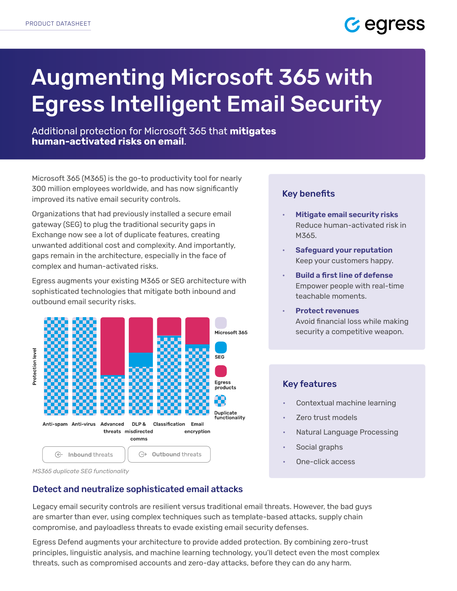

# Augmenting Microsoft 365 with Egress Intelligent Email Security

Additional protection for Microsoft 365 that **mitigates human-activated risks on email**.

Microsoft 365 (M365) is the go-to productivity tool for nearly 300 million employees worldwide, and has now significantly improved its native email security controls.

Organizations that had previously installed a secure email gateway (SEG) to plug the traditional security gaps in Exchange now see a lot of duplicate features, creating unwanted additional cost and complexity. And importantly, gaps remain in the architecture, especially in the face of complex and human-activated risks.

Egress augments your existing M365 or SEG architecture with sophisticated technologies that mitigate both inbound and outbound email security risks.



#### *MS365 duplicate SEG functionality*

# Detect and neutralize sophisticated email attacks

Legacy email security controls are resilient versus traditional email threats. However, the bad guys are smarter than ever, using complex techniques such as template-based attacks, supply chain compromise, and payloadless threats to evade existing email security defenses.

Egress Defend augments your architecture to provide added protection. By combining zero-trust principles, linguistic analysis, and machine learning technology, you'll detect even the most complex threats, such as compromised accounts and zero-day attacks, before they can do any harm.

# Key benefits

- **Mitigate email security risks** Reduce human-activated risk in M365.
- **Safeguard your reputation** Keep your customers happy.
- **Build a first line of defense** Empower people with real-time teachable moments.
- **Protect revenues** Avoid financial loss while making security a competitive weapon.

# Key features

- Contextual machine learning
- Zero trust models
- Natural Language Processing
- Social graphs
- One-click access